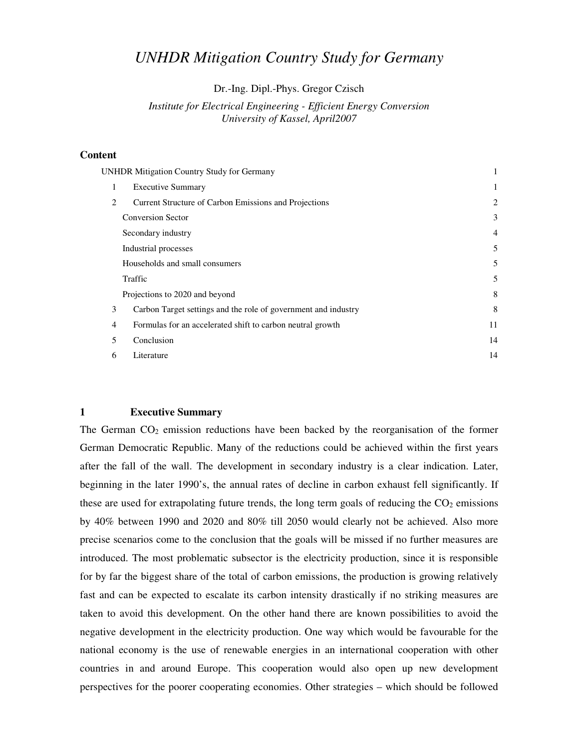# *UNHDR Mitigation Country Study for Germany*

Dr.-Ing. Dipl.-Phys. Gregor Czisch

# *Institute for Electrical Engineering - Efficient Energy Conversion University of Kassel, April2007*

#### **Content**

| <b>UNHDR Mitigation Country Study for Germany</b> |                                                                | 1              |
|---------------------------------------------------|----------------------------------------------------------------|----------------|
| 1                                                 | <b>Executive Summary</b>                                       | 1              |
| 2                                                 | Current Structure of Carbon Emissions and Projections          | $\overline{c}$ |
|                                                   | <b>Conversion Sector</b>                                       | 3              |
|                                                   | Secondary industry                                             | $\overline{4}$ |
|                                                   | Industrial processes                                           | 5              |
|                                                   | Households and small consumers                                 | 5              |
|                                                   | Traffic                                                        | 5              |
|                                                   | Projections to 2020 and beyond                                 | 8              |
| 3                                                 | Carbon Target settings and the role of government and industry | 8              |
| $\overline{4}$                                    | Formulas for an accelerated shift to carbon neutral growth     | 11             |
| 5                                                 | Conclusion                                                     | 14             |
| 6                                                 | Literature                                                     | 14             |
|                                                   |                                                                |                |

## **1 Executive Summary**

The German  $CO<sub>2</sub>$  emission reductions have been backed by the reorganisation of the former German Democratic Republic. Many of the reductions could be achieved within the first years after the fall of the wall. The development in secondary industry is a clear indication. Later, beginning in the later 1990's, the annual rates of decline in carbon exhaust fell significantly. If these are used for extrapolating future trends, the long term goals of reducing the  $CO<sub>2</sub>$  emissions by 40% between 1990 and 2020 and 80% till 2050 would clearly not be achieved. Also more precise scenarios come to the conclusion that the goals will be missed if no further measures are introduced. The most problematic subsector is the electricity production, since it is responsible for by far the biggest share of the total of carbon emissions, the production is growing relatively fast and can be expected to escalate its carbon intensity drastically if no striking measures are taken to avoid this development. On the other hand there are known possibilities to avoid the negative development in the electricity production. One way which would be favourable for the national economy is the use of renewable energies in an international cooperation with other countries in and around Europe. This cooperation would also open up new development perspectives for the poorer cooperating economies. Other strategies – which should be followed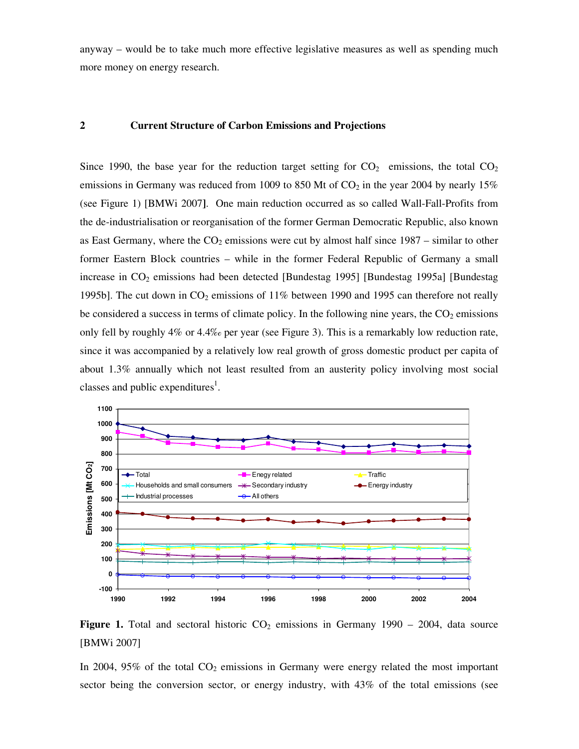anyway – would be to take much more effective legislative measures as well as spending much more money on energy research.

# **2 Current Structure of Carbon Emissions and Projections**

Since 1990, the base year for the reduction target setting for  $CO<sub>2</sub>$  emissions, the total  $CO<sub>2</sub>$ emissions in Germany was reduced from 1009 to 850 Mt of  $CO<sub>2</sub>$  in the year 2004 by nearly 15% (see Figure 1) [BMWi 2007**]**. One main reduction occurred as so called Wall-Fall-Profits from the de-industrialisation or reorganisation of the former German Democratic Republic, also known as East Germany, where the  $CO<sub>2</sub>$  emissions were cut by almost half since 1987 – similar to other former Eastern Block countries – while in the former Federal Republic of Germany a small increase in  $CO<sub>2</sub>$  emissions had been detected [Bundestag 1995] [Bundestag 1995a] [Bundestag 1995b]. The cut down in  $CO_2$  emissions of 11% between 1990 and 1995 can therefore not really be considered a success in terms of climate policy. In the following nine years, the  $CO<sub>2</sub>$  emissions only fell by roughly 4% or 4.4‰ per year (see Figure 3). This is a remarkably low reduction rate, since it was accompanied by a relatively low real growth of gross domestic product per capita of about 1.3% annually which not least resulted from an austerity policy involving most social classes and public expenditures<sup>1</sup>.



**Figure 1.** Total and sectoral historic  $CO<sub>2</sub>$  emissions in Germany 1990 – 2004, data source [BMWi 2007]

In 2004, 95% of the total  $CO<sub>2</sub>$  emissions in Germany were energy related the most important sector being the conversion sector, or energy industry, with 43% of the total emissions (see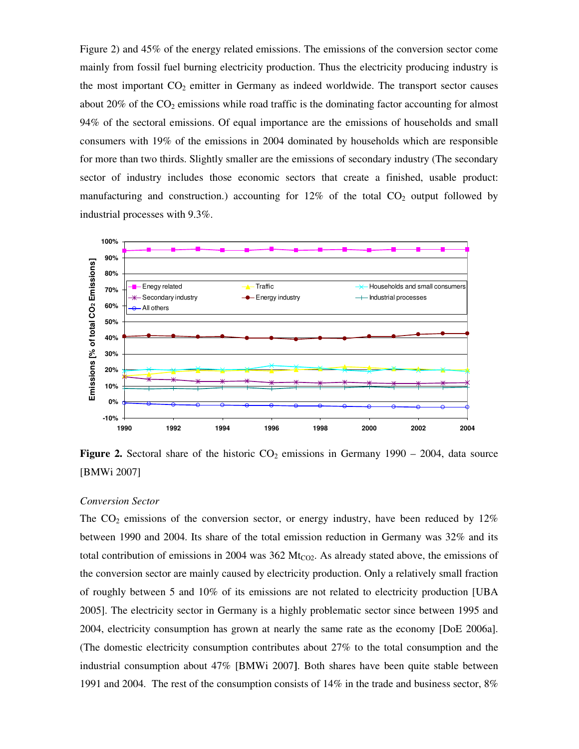Figure 2) and 45% of the energy related emissions. The emissions of the conversion sector come mainly from fossil fuel burning electricity production. Thus the electricity producing industry is the most important  $CO<sub>2</sub>$  emitter in Germany as indeed worldwide. The transport sector causes about 20% of the  $CO<sub>2</sub>$  emissions while road traffic is the dominating factor accounting for almost 94% of the sectoral emissions. Of equal importance are the emissions of households and small consumers with 19% of the emissions in 2004 dominated by households which are responsible for more than two thirds. Slightly smaller are the emissions of secondary industry (The secondary sector of industry includes those economic sectors that create a finished, usable product: manufacturing and construction.) accounting for  $12\%$  of the total  $CO<sub>2</sub>$  output followed by industrial processes with 9.3%.



**Figure 2.** Sectoral share of the historic  $CO_2$  emissions in Germany 1990 – 2004, data source [BMWi 2007]

# *Conversion Sector*

The  $CO<sub>2</sub>$  emissions of the conversion sector, or energy industry, have been reduced by  $12\%$ between 1990 and 2004. Its share of the total emission reduction in Germany was 32% and its total contribution of emissions in 2004 was 362  $Mt_{CO2}$ . As already stated above, the emissions of the conversion sector are mainly caused by electricity production. Only a relatively small fraction of roughly between 5 and 10% of its emissions are not related to electricity production [UBA 2005]. The electricity sector in Germany is a highly problematic sector since between 1995 and 2004, electricity consumption has grown at nearly the same rate as the economy [DoE 2006a]. (The domestic electricity consumption contributes about 27% to the total consumption and the industrial consumption about 47% [BMWi 2007**]**. Both shares have been quite stable between 1991 and 2004. The rest of the consumption consists of 14% in the trade and business sector, 8%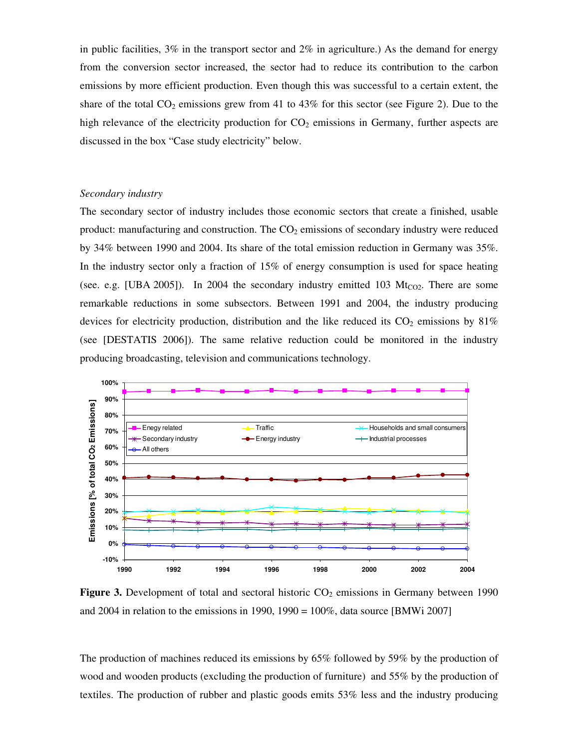in public facilities,  $3\%$  in the transport sector and  $2\%$  in agriculture.) As the demand for energy from the conversion sector increased, the sector had to reduce its contribution to the carbon emissions by more efficient production. Even though this was successful to a certain extent, the share of the total  $CO_2$  emissions grew from 41 to 43% for this sector (see Figure 2). Due to the high relevance of the electricity production for  $CO<sub>2</sub>$  emissions in Germany, further aspects are discussed in the box "Case study electricity" below.

#### *Secondary industry*

The secondary sector of industry includes those economic sectors that create a finished, usable product: manufacturing and construction. The  $CO<sub>2</sub>$  emissions of secondary industry were reduced by 34% between 1990 and 2004. Its share of the total emission reduction in Germany was 35%. In the industry sector only a fraction of 15% of energy consumption is used for space heating (see. e.g. [UBA 2005]). In 2004 the secondary industry emitted 103  $Mt_{CO2}$ . There are some remarkable reductions in some subsectors. Between 1991 and 2004, the industry producing devices for electricity production, distribution and the like reduced its  $CO<sub>2</sub>$  emissions by 81% (see [DESTATIS 2006]). The same relative reduction could be monitored in the industry producing broadcasting, television and communications technology.



Figure 3. Development of total and sectoral historic CO<sub>2</sub> emissions in Germany between 1990 and 2004 in relation to the emissions in 1990, 1990 = 100%, data source [BMWi 2007]

The production of machines reduced its emissions by 65% followed by 59% by the production of wood and wooden products (excluding the production of furniture) and 55% by the production of textiles. The production of rubber and plastic goods emits 53% less and the industry producing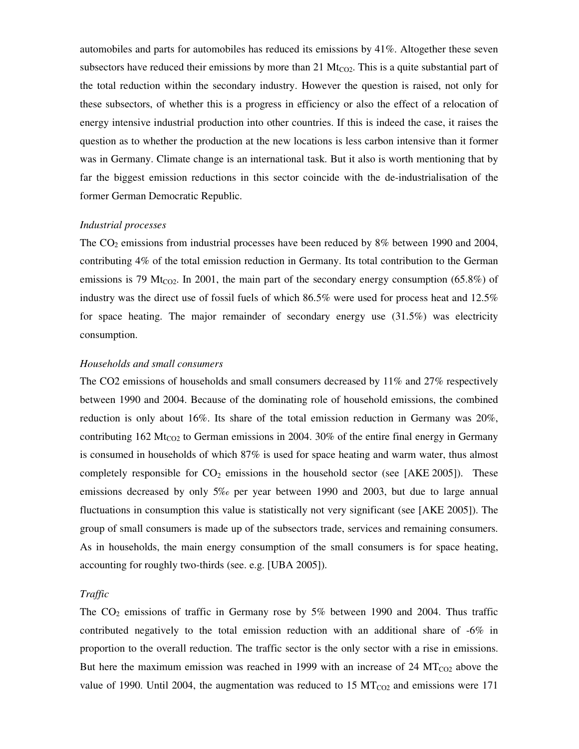automobiles and parts for automobiles has reduced its emissions by 41%. Altogether these seven subsectors have reduced their emissions by more than 21  $Mt_{CO2}$ . This is a quite substantial part of the total reduction within the secondary industry. However the question is raised, not only for these subsectors, of whether this is a progress in efficiency or also the effect of a relocation of energy intensive industrial production into other countries. If this is indeed the case, it raises the question as to whether the production at the new locations is less carbon intensive than it former was in Germany. Climate change is an international task. But it also is worth mentioning that by far the biggest emission reductions in this sector coincide with the de-industrialisation of the former German Democratic Republic.

#### *Industrial processes*

The  $CO<sub>2</sub>$  emissions from industrial processes have been reduced by 8% between 1990 and 2004, contributing 4% of the total emission reduction in Germany. Its total contribution to the German emissions is 79 Mt<sub>CO2</sub>. In 2001, the main part of the secondary energy consumption (65.8%) of industry was the direct use of fossil fuels of which 86.5% were used for process heat and 12.5% for space heating. The major remainder of secondary energy use (31.5%) was electricity consumption.

# *Households and small consumers*

The CO2 emissions of households and small consumers decreased by 11% and 27% respectively between 1990 and 2004. Because of the dominating role of household emissions, the combined reduction is only about 16%. Its share of the total emission reduction in Germany was 20%, contributing  $162 \text{ Mt}_{\text{CO2}}$  to German emissions in 2004. 30% of the entire final energy in Germany is consumed in households of which 87% is used for space heating and warm water, thus almost completely responsible for  $CO<sub>2</sub>$  emissions in the household sector (see [AKE 2005]). These emissions decreased by only 5‰ per year between 1990 and 2003, but due to large annual fluctuations in consumption this value is statistically not very significant (see [AKE 2005]). The group of small consumers is made up of the subsectors trade, services and remaining consumers. As in households, the main energy consumption of the small consumers is for space heating, accounting for roughly two-thirds (see. e.g. [UBA 2005]).

## *Traffic*

The  $CO<sub>2</sub>$  emissions of traffic in Germany rose by 5% between 1990 and 2004. Thus traffic contributed negatively to the total emission reduction with an additional share of -6% in proportion to the overall reduction. The traffic sector is the only sector with a rise in emissions. But here the maximum emission was reached in 1999 with an increase of 24  $MT_{CO2}$  above the value of 1990. Until 2004, the augmentation was reduced to 15  $MT_{CO2}$  and emissions were 171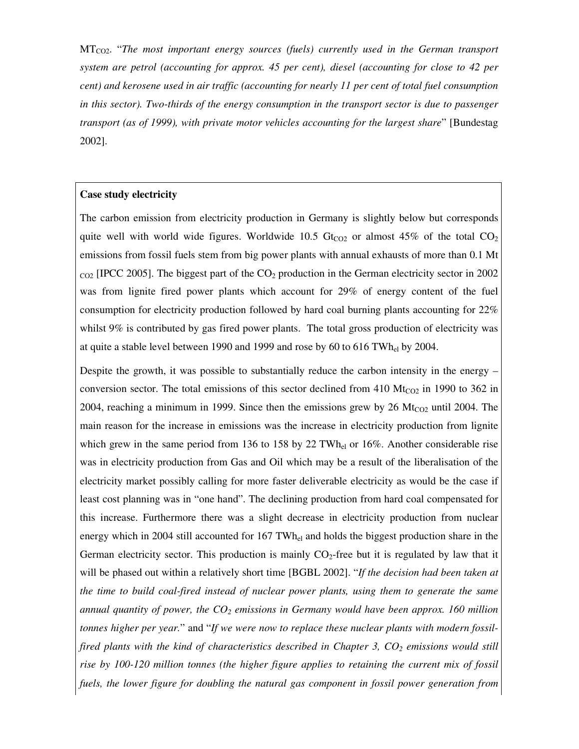MTCO2. "*The most important energy sources (fuels) currently used in the German transport system are petrol (accounting for approx. 45 per cent), diesel (accounting for close to 42 per cent) and kerosene used in air traffic (accounting for nearly 11 per cent of total fuel consumption in this sector). Two-thirds of the energy consumption in the transport sector is due to passenger transport (as of 1999), with private motor vehicles accounting for the largest share*" [Bundestag 2002].

#### **Case study electricity**

The carbon emission from electricity production in Germany is slightly below but corresponds quite well with world wide figures. Worldwide 10.5  $Gt_{CO2}$  or almost 45% of the total  $CO<sub>2</sub>$ emissions from fossil fuels stem from big power plants with annual exhausts of more than 0.1 Mt  $_{\text{CO2}}$  [IPCC 2005]. The biggest part of the CO<sub>2</sub> production in the German electricity sector in 2002 was from lignite fired power plants which account for 29% of energy content of the fuel consumption for electricity production followed by hard coal burning plants accounting for 22% whilst 9% is contributed by gas fired power plants. The total gross production of electricity was at quite a stable level between 1990 and 1999 and rose by 60 to 616 TWhel by 2004.

Despite the growth, it was possible to substantially reduce the carbon intensity in the energy – conversion sector. The total emissions of this sector declined from  $410 \text{ Mt}_{CO2}$  in 1990 to 362 in 2004, reaching a minimum in 1999. Since then the emissions grew by 26  $Mt_{CO2}$  until 2004. The main reason for the increase in emissions was the increase in electricity production from lignite which grew in the same period from 136 to 158 by 22 TWh<sub>el</sub> or 16%. Another considerable rise was in electricity production from Gas and Oil which may be a result of the liberalisation of the electricity market possibly calling for more faster deliverable electricity as would be the case if least cost planning was in "one hand". The declining production from hard coal compensated for this increase. Furthermore there was a slight decrease in electricity production from nuclear energy which in 2004 still accounted for 167 TWh<sub>el</sub> and holds the biggest production share in the German electricity sector. This production is mainly  $CO<sub>2</sub>$ -free but it is regulated by law that it will be phased out within a relatively short time [BGBL 2002]. "*If the decision had been taken at the time to build coal-fired instead of nuclear power plants, using them to generate the same annual quantity of power, the CO2 emissions in Germany would have been approx. 160 million tonnes higher per year.*" and "*If we were now to replace these nuclear plants with modern fossilfired plants with the kind of characteristics described in Chapter 3, CO2 emissions would still rise by 100-120 million tonnes (the higher figure applies to retaining the current mix of fossil fuels, the lower figure for doubling the natural gas component in fossil power generation from*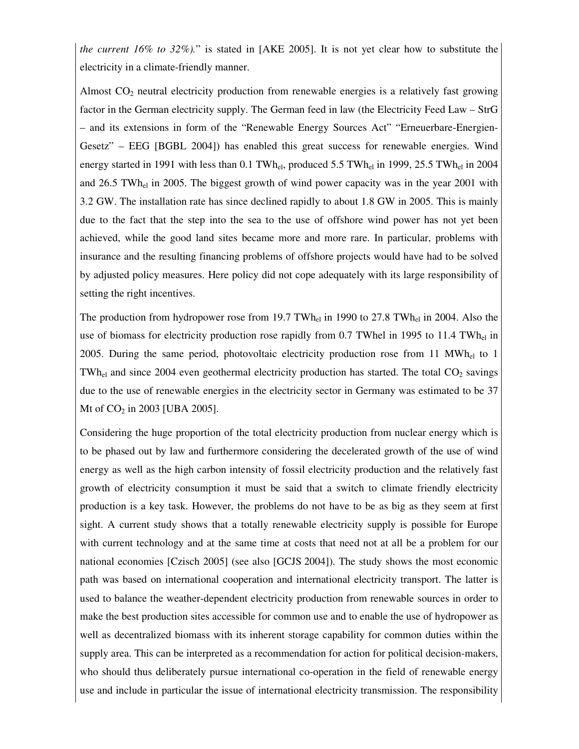*the current 16% to 32%).*" is stated in [AKE 2005]. It is not yet clear how to substitute the electricity in a climate-friendly manner.

Almost  $CO<sub>2</sub>$  neutral electricity production from renewable energies is a relatively fast growing factor in the German electricity supply. The German feed in law (the Electricity Feed Law – StrG – and its extensions in form of the "Renewable Energy Sources Act" "Erneuerbare-Energien-Gesetz" – EEG [BGBL 2004]) has enabled this great success for renewable energies. Wind energy started in 1991 with less than 0.1 TWh<sub>el</sub>, produced 5.5 TWh<sub>el</sub> in 1999, 25.5 TWh<sub>el</sub> in 2004 and 26.5 TWh<sub>el</sub> in 2005. The biggest growth of wind power capacity was in the year 2001 with 3.2 GW. The installation rate has since declined rapidly to about 1.8 GW in 2005. This is mainly due to the fact that the step into the sea to the use of offshore wind power has not yet been achieved, while the good land sites became more and more rare. In particular, problems with insurance and the resulting financing problems of offshore projects would have had to be solved by adjusted policy measures. Here policy did not cope adequately with its large responsibility of setting the right incentives.

The production from hydropower rose from 19.7 TWh<sub>el</sub> in 1990 to 27.8 TWh<sub>el</sub> in 2004. Also the use of biomass for electricity production rose rapidly from 0.7 TWhel in 1995 to 11.4 TWh<sub>el</sub> in 2005. During the same period, photovoltaic electricity production rose from 11  $MWh_{el}$  to 1 TWh<sub>el</sub> and since 2004 even geothermal electricity production has started. The total  $CO<sub>2</sub>$  savings due to the use of renewable energies in the electricity sector in Germany was estimated to be 37 Mt of  $CO_2$  in 2003 [UBA 2005].

Considering the huge proportion of the total electricity production from nuclear energy which is to be phased out by law and furthermore considering the decelerated growth of the use of wind energy as well as the high carbon intensity of fossil electricity production and the relatively fast growth of electricity consumption it must be said that a switch to climate friendly electricity production is a key task. However, the problems do not have to be as big as they seem at first sight. A current study shows that a totally renewable electricity supply is possible for Europe with current technology and at the same time at costs that need not at all be a problem for our national economies [Czisch 2005] (see also [GCJS 2004]). The study shows the most economic path was based on international cooperation and international electricity transport. The latter is used to balance the weather-dependent electricity production from renewable sources in order to make the best production sites accessible for common use and to enable the use of hydropower as well as decentralized biomass with its inherent storage capability for common duties within the supply area. This can be interpreted as a recommendation for action for political decision-makers, who should thus deliberately pursue international co-operation in the field of renewable energy use and include in particular the issue of international electricity transmission. The responsibility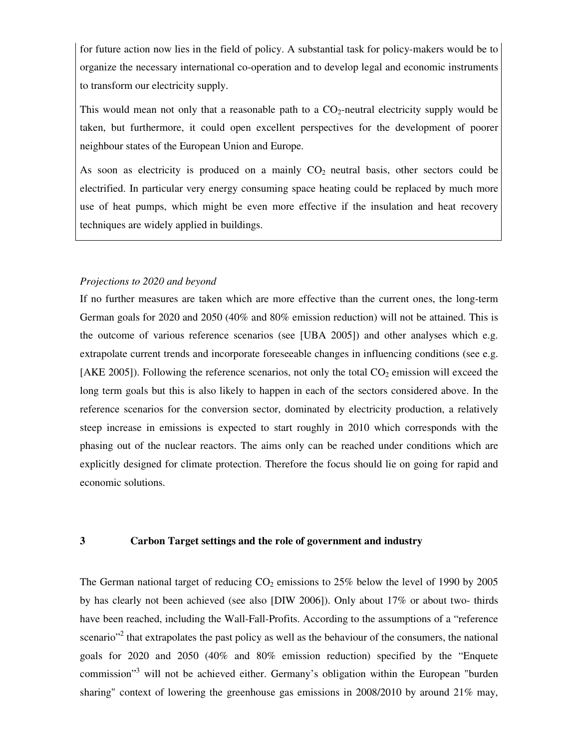for future action now lies in the field of policy. A substantial task for policy-makers would be to organize the necessary international co-operation and to develop legal and economic instruments to transform our electricity supply.

This would mean not only that a reasonable path to a  $CO_2$ -neutral electricity supply would be taken, but furthermore, it could open excellent perspectives for the development of poorer neighbour states of the European Union and Europe.

As soon as electricity is produced on a mainly  $CO<sub>2</sub>$  neutral basis, other sectors could be electrified. In particular very energy consuming space heating could be replaced by much more use of heat pumps, which might be even more effective if the insulation and heat recovery techniques are widely applied in buildings.

# *Projections to 2020 and beyond*

If no further measures are taken which are more effective than the current ones, the long-term German goals for 2020 and 2050 (40% and 80% emission reduction) will not be attained. This is the outcome of various reference scenarios (see [UBA 2005]) and other analyses which e.g. extrapolate current trends and incorporate foreseeable changes in influencing conditions (see e.g. [AKE 2005]). Following the reference scenarios, not only the total  $CO<sub>2</sub>$  emission will exceed the long term goals but this is also likely to happen in each of the sectors considered above. In the reference scenarios for the conversion sector, dominated by electricity production, a relatively steep increase in emissions is expected to start roughly in 2010 which corresponds with the phasing out of the nuclear reactors. The aims only can be reached under conditions which are explicitly designed for climate protection. Therefore the focus should lie on going for rapid and economic solutions.

# **3 Carbon Target settings and the role of government and industry**

The German national target of reducing  $CO<sub>2</sub>$  emissions to 25% below the level of 1990 by 2005 by has clearly not been achieved (see also [DIW 2006]). Only about 17% or about two- thirds have been reached, including the Wall-Fall-Profits. According to the assumptions of a "reference scenario"<sup>2</sup> that extrapolates the past policy as well as the behaviour of the consumers, the national goals for 2020 and 2050 (40% and 80% emission reduction) specified by the "Enquete commission"<sup>3</sup> will not be achieved either. Germany's obligation within the European "burden sharing" context of lowering the greenhouse gas emissions in 2008/2010 by around 21% may,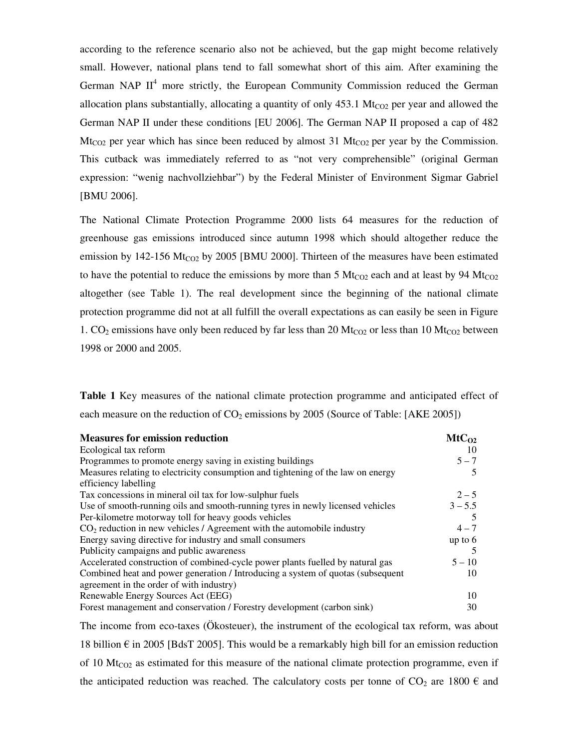according to the reference scenario also not be achieved, but the gap might become relatively small. However, national plans tend to fall somewhat short of this aim. After examining the German NAP  $II<sup>4</sup>$  more strictly, the European Community Commission reduced the German allocation plans substantially, allocating a quantity of only  $453.1 \text{ Mt}_{CO2}$  per year and allowed the German NAP II under these conditions [EU 2006]. The German NAP II proposed a cap of 482 Mt<sub>CO2</sub> per year which has since been reduced by almost 31 Mt<sub>CO2</sub> per year by the Commission. This cutback was immediately referred to as "not very comprehensible" (original German expression: "wenig nachvollziehbar") by the Federal Minister of Environment Sigmar Gabriel [BMU 2006].

The National Climate Protection Programme 2000 lists 64 measures for the reduction of greenhouse gas emissions introduced since autumn 1998 which should altogether reduce the emission by 142-156  $Mt_{CO2}$  by 2005 [BMU 2000]. Thirteen of the measures have been estimated to have the potential to reduce the emissions by more than 5  $Mt_{CO2}$  each and at least by 94  $Mt_{CO2}$ altogether (see Table 1). The real development since the beginning of the national climate protection programme did not at all fulfill the overall expectations as can easily be seen in Figure 1.  $CO_2$  emissions have only been reduced by far less than 20 Mt<sub>CO2</sub> or less than 10 Mt<sub>CO2</sub> between 1998 or 2000 and 2005.

**Table 1** Key measures of the national climate protection programme and anticipated effect of each measure on the reduction of  $CO<sub>2</sub>$  emissions by 2005 (Source of Table: [AKE 2005])

| <b>Measures for emission reduction</b>                                           | $MtC_{O2}$ |
|----------------------------------------------------------------------------------|------------|
| Ecological tax reform                                                            | 10         |
| Programmes to promote energy saving in existing buildings                        | $5 - 7$    |
| Measures relating to electricity consumption and tightening of the law on energy |            |
| efficiency labelling                                                             |            |
| Tax concessions in mineral oil tax for low-sulphur fuels                         | $2 - 5$    |
| Use of smooth-running oils and smooth-running tyres in newly licensed vehicles   | $3 - 5.5$  |
| Per-kilometre motorway toll for heavy goods vehicles                             |            |
| $CO2$ reduction in new vehicles / Agreement with the automobile industry         | $4 - 7$    |
| Energy saving directive for industry and small consumers                         | up to $6$  |
| Publicity campaigns and public awareness                                         |            |
| Accelerated construction of combined-cycle power plants fuelled by natural gas   | $5 - 10$   |
| Combined heat and power generation / Introducing a system of quotas (subsequent  | 10         |
| agreement in the order of with industry)                                         |            |
| Renewable Energy Sources Act (EEG)                                               | 10         |
| Forest management and conservation / Forestry development (carbon sink)          | 30         |
|                                                                                  |            |

The income from eco-taxes (Ökosteuer), the instrument of the ecological tax reform, was about 18 billion  $\epsilon$  in 2005 [BdsT 2005]. This would be a remarkably high bill for an emission reduction of 10  $Mt_{CO2}$  as estimated for this measure of the national climate protection programme, even if the anticipated reduction was reached. The calculatory costs per tonne of  $CO_2$  are 1800  $\epsilon$  and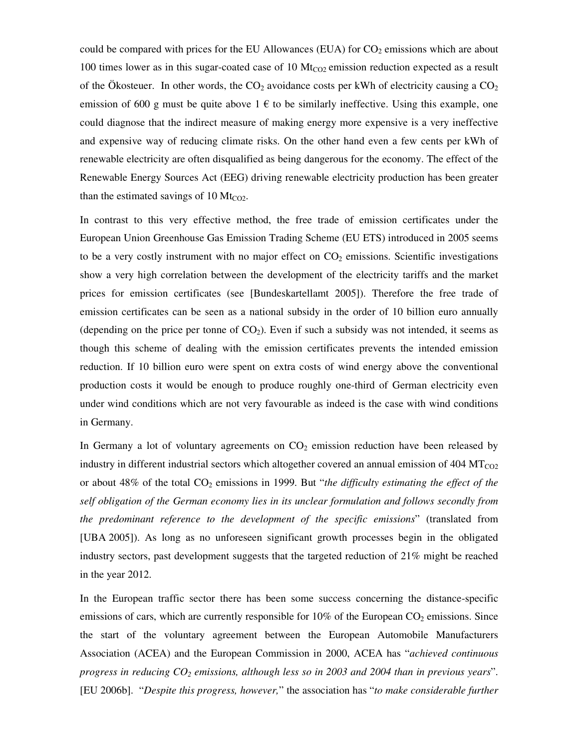could be compared with prices for the EU Allowances (EUA) for  $CO<sub>2</sub>$  emissions which are about 100 times lower as in this sugar-coated case of 10  $\text{Mt}_{CO2}$  emission reduction expected as a result of the Ökosteuer. In other words, the  $CO<sub>2</sub>$  avoidance costs per kWh of electricity causing a  $CO<sub>2</sub>$ emission of 600 g must be quite above  $1 \in \mathfrak{t}$  to be similarly ineffective. Using this example, one could diagnose that the indirect measure of making energy more expensive is a very ineffective and expensive way of reducing climate risks. On the other hand even a few cents per kWh of renewable electricity are often disqualified as being dangerous for the economy. The effect of the Renewable Energy Sources Act (EEG) driving renewable electricity production has been greater than the estimated savings of 10  $Mt_{CO2}$ .

In contrast to this very effective method, the free trade of emission certificates under the European Union Greenhouse Gas Emission Trading Scheme (EU ETS) introduced in 2005 seems to be a very costly instrument with no major effect on  $CO<sub>2</sub>$  emissions. Scientific investigations show a very high correlation between the development of the electricity tariffs and the market prices for emission certificates (see [Bundeskartellamt 2005]). Therefore the free trade of emission certificates can be seen as a national subsidy in the order of 10 billion euro annually (depending on the price per tonne of  $CO<sub>2</sub>$ ). Even if such a subsidy was not intended, it seems as though this scheme of dealing with the emission certificates prevents the intended emission reduction. If 10 billion euro were spent on extra costs of wind energy above the conventional production costs it would be enough to produce roughly one-third of German electricity even under wind conditions which are not very favourable as indeed is the case with wind conditions in Germany.

In Germany a lot of voluntary agreements on  $CO<sub>2</sub>$  emission reduction have been released by industry in different industrial sectors which altogether covered an annual emission of  $404 \mathrm{MT_{CO2}}$ or about 48% of the total CO<sub>2</sub> emissions in 1999. But "*the difficulty estimating the effect of the self obligation of the German economy lies in its unclear formulation and follows secondly from the predominant reference to the development of the specific emissions*" (translated from [UBA 2005]). As long as no unforeseen significant growth processes begin in the obligated industry sectors, past development suggests that the targeted reduction of 21% might be reached in the year 2012.

In the European traffic sector there has been some success concerning the distance-specific emissions of cars, which are currently responsible for  $10\%$  of the European CO<sub>2</sub> emissions. Since the start of the voluntary agreement between the European Automobile Manufacturers Association (ACEA) and the European Commission in 2000, ACEA has "*achieved continuous progress in reducing CO2 emissions, although less so in 2003 and 2004 than in previous years*". [EU 2006b]. "*Despite this progress, however,*" the association has "*to make considerable further*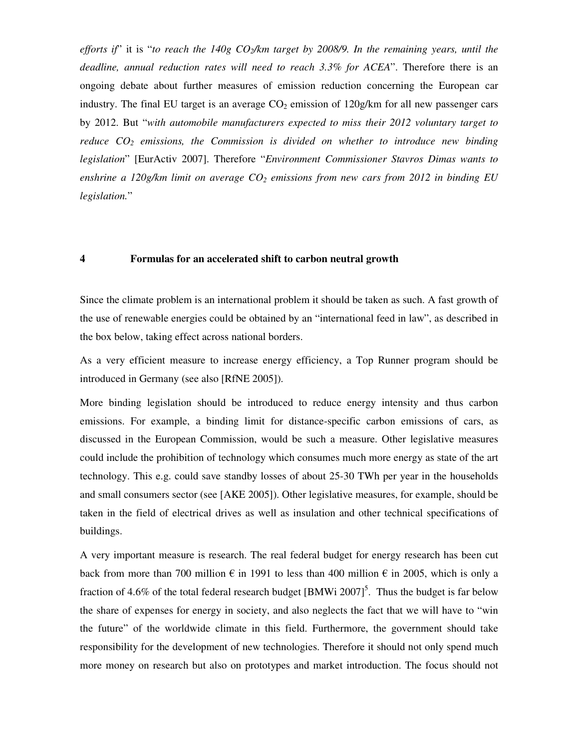*efforts if*" it is "*to reach the 140g CO2/km target by 2008/9. In the remaining years, until the deadline, annual reduction rates will need to reach 3.3% for ACEA*". Therefore there is an ongoing debate about further measures of emission reduction concerning the European car industry. The final EU target is an average  $CO<sub>2</sub>$  emission of 120g/km for all new passenger cars by 2012. But "*with automobile manufacturers expected to miss their 2012 voluntary target to reduce CO2 emissions, the Commission is divided on whether to introduce new binding legislation*" [EurActiv 2007]. Therefore "*Environment Commissioner Stavros Dimas wants to enshrine a 120g/km limit on average CO2 emissions from new cars from 2012 in binding EU legislation.*"

## **4 Formulas for an accelerated shift to carbon neutral growth**

Since the climate problem is an international problem it should be taken as such. A fast growth of the use of renewable energies could be obtained by an "international feed in law", as described in the box below, taking effect across national borders.

As a very efficient measure to increase energy efficiency, a Top Runner program should be introduced in Germany (see also [RfNE 2005]).

More binding legislation should be introduced to reduce energy intensity and thus carbon emissions. For example, a binding limit for distance-specific carbon emissions of cars, as discussed in the European Commission, would be such a measure. Other legislative measures could include the prohibition of technology which consumes much more energy as state of the art technology. This e.g. could save standby losses of about 25-30 TWh per year in the households and small consumers sector (see [AKE 2005]). Other legislative measures, for example, should be taken in the field of electrical drives as well as insulation and other technical specifications of buildings.

A very important measure is research. The real federal budget for energy research has been cut back from more than 700 million  $\epsilon$  in 1991 to less than 400 million  $\epsilon$  in 2005, which is only a fraction of 4.6% of the total federal research budget  $[BMWi 2007]^5$ . Thus the budget is far below the share of expenses for energy in society, and also neglects the fact that we will have to "win the future" of the worldwide climate in this field. Furthermore, the government should take responsibility for the development of new technologies. Therefore it should not only spend much more money on research but also on prototypes and market introduction. The focus should not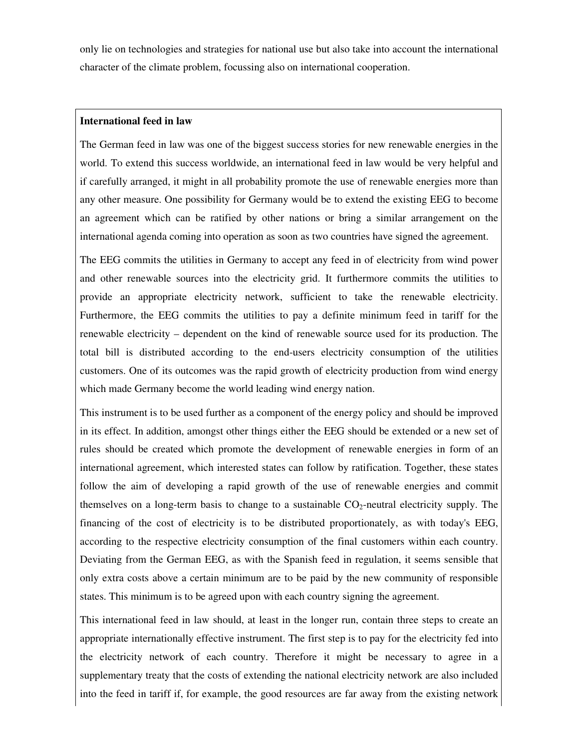only lie on technologies and strategies for national use but also take into account the international character of the climate problem, focussing also on international cooperation.

# **International feed in law**

The German feed in law was one of the biggest success stories for new renewable energies in the world. To extend this success worldwide, an international feed in law would be very helpful and if carefully arranged, it might in all probability promote the use of renewable energies more than any other measure. One possibility for Germany would be to extend the existing EEG to become an agreement which can be ratified by other nations or bring a similar arrangement on the international agenda coming into operation as soon as two countries have signed the agreement.

The EEG commits the utilities in Germany to accept any feed in of electricity from wind power and other renewable sources into the electricity grid. It furthermore commits the utilities to provide an appropriate electricity network, sufficient to take the renewable electricity. Furthermore, the EEG commits the utilities to pay a definite minimum feed in tariff for the renewable electricity – dependent on the kind of renewable source used for its production. The total bill is distributed according to the end-users electricity consumption of the utilities customers. One of its outcomes was the rapid growth of electricity production from wind energy which made Germany become the world leading wind energy nation.

This instrument is to be used further as a component of the energy policy and should be improved in its effect. In addition, amongst other things either the EEG should be extended or a new set of rules should be created which promote the development of renewable energies in form of an international agreement, which interested states can follow by ratification. Together, these states follow the aim of developing a rapid growth of the use of renewable energies and commit themselves on a long-term basis to change to a sustainable  $CO_2$ -neutral electricity supply. The financing of the cost of electricity is to be distributed proportionately, as with today's EEG, according to the respective electricity consumption of the final customers within each country. Deviating from the German EEG, as with the Spanish feed in regulation, it seems sensible that only extra costs above a certain minimum are to be paid by the new community of responsible states. This minimum is to be agreed upon with each country signing the agreement.

This international feed in law should, at least in the longer run, contain three steps to create an appropriate internationally effective instrument. The first step is to pay for the electricity fed into the electricity network of each country. Therefore it might be necessary to agree in a supplementary treaty that the costs of extending the national electricity network are also included into the feed in tariff if, for example, the good resources are far away from the existing network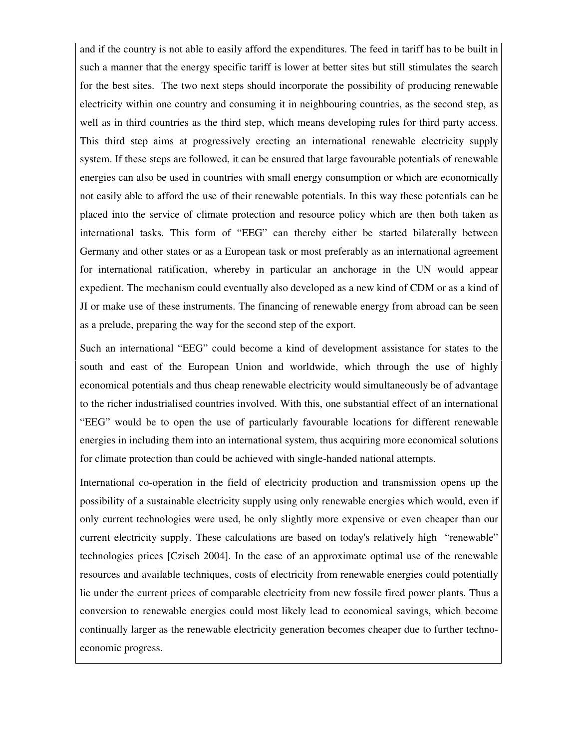and if the country is not able to easily afford the expenditures. The feed in tariff has to be built in such a manner that the energy specific tariff is lower at better sites but still stimulates the search for the best sites. The two next steps should incorporate the possibility of producing renewable electricity within one country and consuming it in neighbouring countries, as the second step, as well as in third countries as the third step, which means developing rules for third party access. This third step aims at progressively erecting an international renewable electricity supply system. If these steps are followed, it can be ensured that large favourable potentials of renewable energies can also be used in countries with small energy consumption or which are economically not easily able to afford the use of their renewable potentials. In this way these potentials can be placed into the service of climate protection and resource policy which are then both taken as international tasks. This form of "EEG" can thereby either be started bilaterally between Germany and other states or as a European task or most preferably as an international agreement for international ratification, whereby in particular an anchorage in the UN would appear expedient. The mechanism could eventually also developed as a new kind of CDM or as a kind of JI or make use of these instruments. The financing of renewable energy from abroad can be seen as a prelude, preparing the way for the second step of the export.

Such an international "EEG" could become a kind of development assistance for states to the south and east of the European Union and worldwide, which through the use of highly economical potentials and thus cheap renewable electricity would simultaneously be of advantage to the richer industrialised countries involved. With this, one substantial effect of an international "EEG" would be to open the use of particularly favourable locations for different renewable energies in including them into an international system, thus acquiring more economical solutions for climate protection than could be achieved with single-handed national attempts.

International co-operation in the field of electricity production and transmission opens up the possibility of a sustainable electricity supply using only renewable energies which would, even if only current technologies were used, be only slightly more expensive or even cheaper than our current electricity supply. These calculations are based on today's relatively high "renewable" technologies prices [Czisch 2004]. In the case of an approximate optimal use of the renewable resources and available techniques, costs of electricity from renewable energies could potentially lie under the current prices of comparable electricity from new fossile fired power plants. Thus a conversion to renewable energies could most likely lead to economical savings, which become continually larger as the renewable electricity generation becomes cheaper due to further technoeconomic progress.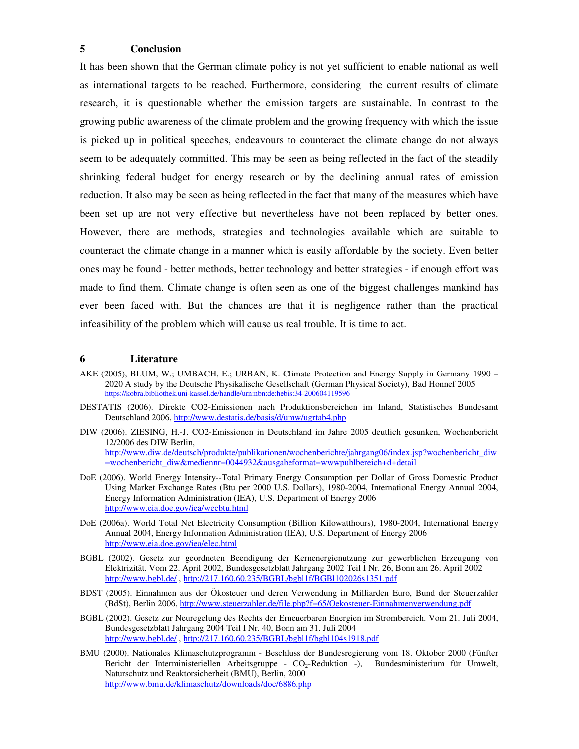# **5 Conclusion**

It has been shown that the German climate policy is not yet sufficient to enable national as well as international targets to be reached. Furthermore, considering the current results of climate research, it is questionable whether the emission targets are sustainable. In contrast to the growing public awareness of the climate problem and the growing frequency with which the issue is picked up in political speeches, endeavours to counteract the climate change do not always seem to be adequately committed. This may be seen as being reflected in the fact of the steadily shrinking federal budget for energy research or by the declining annual rates of emission reduction. It also may be seen as being reflected in the fact that many of the measures which have been set up are not very effective but nevertheless have not been replaced by better ones. However, there are methods, strategies and technologies available which are suitable to counteract the climate change in a manner which is easily affordable by the society. Even better ones may be found - better methods, better technology and better strategies - if enough effort was made to find them. Climate change is often seen as one of the biggest challenges mankind has ever been faced with. But the chances are that it is negligence rather than the practical infeasibility of the problem which will cause us real trouble. It is time to act.

## **6 Literature**

- AKE (2005), BLUM, W.; UMBACH, E.; URBAN, K. Climate Protection and Energy Supply in Germany 1990 2020 A study by the Deutsche Physikalische Gesellschaft (German Physical Society), Bad Honnef 2005 https://kobra.bibliothek.uni-kassel.de/handle/urn:nbn:de:hebis:34-200604119596
- DESTATIS (2006). Direkte CO2-Emissionen nach Produktionsbereichen im Inland, Statistisches Bundesamt Deutschland 2006, http://www.destatis.de/basis/d/umw/ugrtab4.php
- DIW (2006). ZIESING, H.-J. CO2-Emissionen in Deutschland im Jahre 2005 deutlich gesunken, Wochenbericht 12/2006 des DIW Berlin, http://www.diw.de/deutsch/produkte/publikationen/wochenberichte/jahrgang06/index.jsp?wochenbericht\_diw =wochenbericht\_diw&mediennr=0044932&ausgabeformat=wwwpublbereich+d+detail
- DoE (2006). World Energy Intensity--Total Primary Energy Consumption per Dollar of Gross Domestic Product Using Market Exchange Rates (Btu per 2000 U.S. Dollars), 1980-2004, International Energy Annual 2004, Energy Information Administration (IEA), U.S. Department of Energy 2006 http://www.eia.doe.gov/iea/wecbtu.html
- DoE (2006a). World Total Net Electricity Consumption (Billion Kilowatthours), 1980-2004, International Energy Annual 2004, Energy Information Administration (IEA), U.S. Department of Energy 2006 http://www.eia.doe.gov/iea/elec.html
- BGBL (2002). Gesetz zur geordneten Beendigung der Kernenergienutzung zur gewerblichen Erzeugung von Elektrizität. Vom 22. April 2002, Bundesgesetzblatt Jahrgang 2002 Teil I Nr. 26, Bonn am 26. April 2002 http://www.bgbl.de/ , http://217.160.60.235/BGBL/bgbl1f/BGBl102026s1351.pdf
- BDST (2005). Einnahmen aus der Ökosteuer und deren Verwendung in Milliarden Euro, Bund der Steuerzahler (BdSt), Berlin 2006, http://www.steuerzahler.de/file.php?f=65/Oekosteuer-Einnahmenverwendung.pdf
- BGBL (2002). Gesetz zur Neuregelung des Rechts der Erneuerbaren Energien im Strombereich. Vom 21. Juli 2004, Bundesgesetzblatt Jahrgang 2004 Teil I Nr. 40, Bonn am 31. Juli 2004 http://www.bgbl.de/ , http://217.160.60.235/BGBL/bgbl1f/bgbl104s1918.pdf
- BMU (2000). Nationales Klimaschutzprogramm Beschluss der Bundesregierung vom 18. Oktober 2000 (Fünfter Bericht der Interministeriellen Arbeitsgruppe - CO<sub>2</sub>-Reduktion -), Bundesministerium für Umwelt, Naturschutz und Reaktorsicherheit (BMU), Berlin, 2000 http://www.bmu.de/klimaschutz/downloads/doc/6886.php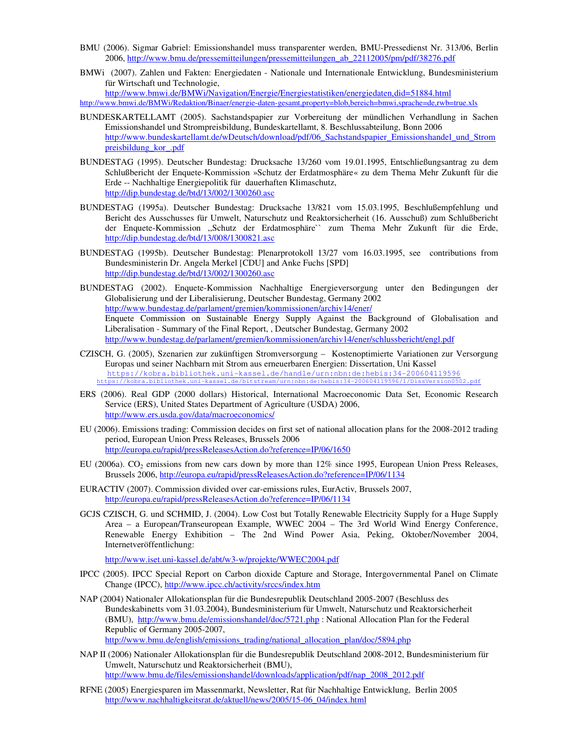- BMU (2006). Sigmar Gabriel: Emissionshandel muss transparenter werden, BMU-Pressedienst Nr. 313/06, Berlin 2006, http://www.bmu.de/pressemitteilungen/pressemitteilungen\_ab\_22112005/pm/pdf/38276.pdf
- BMWi (2007). Zahlen und Fakten: Energiedaten Nationale und Internationale Entwicklung, Bundesministerium für Wirtschaft und Technologie,

http://www.bmwi.de/BMWi/Navigation/Energie/Energiestatistiken/energiedaten,did=51884.html http://www.bmwi.de/BMWi/Redaktion/Binaer/energie-daten-gesamt,property=blob,bereich=bmwi,sprache=de,rwb=true.xls

- BUNDESKARTELLAMT (2005). Sachstandspapier zur Vorbereitung der mündlichen Verhandlung in Sachen Emissionshandel und Strompreisbildung, Bundeskartellamt, 8. Beschlussabteilung, Bonn 2006 http://www.bundeskartellamt.de/wDeutsch/download/pdf/06\_Sachstandspapier\_Emissionshandel\_und\_Strom preisbildung\_kor\_.pdf
- BUNDESTAG (1995). Deutscher Bundestag: Drucksache 13/260 vom 19.01.1995, Entschließungsantrag zu dem Schlußbericht der Enquete-Kommission »Schutz der Erdatmosphäre« zu dem Thema Mehr Zukunft für die Erde -- Nachhaltige Energiepolitik für dauerhaften Klimaschutz, http://dip.bundestag.de/btd/13/002/1300260.asc
- BUNDESTAG (1995a). Deutscher Bundestag: Drucksache 13/821 vom 15.03.1995, Beschlußempfehlung und Bericht des Ausschusses für Umwelt, Naturschutz und Reaktorsicherheit (16. Ausschuß) zum Schlußbericht der Enquete-Kommission ,,Schutz der Erdatmosphäre`` zum Thema Mehr Zukunft für die Erde, http://dip.bundestag.de/btd/13/008/1300821.asc
- BUNDESTAG (1995b). Deutscher Bundestag: Plenarprotokoll 13/27 vom 16.03.1995, see contributions from Bundesministerin Dr. Angela Merkel [CDU] and Anke Fuchs [SPD] http://dip.bundestag.de/btd/13/002/1300260.asc
- BUNDESTAG (2002). Enquete-Kommission Nachhaltige Energieversorgung unter den Bedingungen der Globalisierung und der Liberalisierung, Deutscher Bundestag, Germany 2002 http://www.bundestag.de/parlament/gremien/kommissionen/archiv14/ener/ Enquete Commission on Sustainable Energy Supply Against the Background of Globalisation and Liberalisation - Summary of the Final Report, , Deutscher Bundestag, Germany 2002 http://www.bundestag.de/parlament/gremien/kommissionen/archiv14/ener/schlussbericht/engl.pdf
- CZISCH, G. (2005), Szenarien zur zukünftigen Stromversorgung Kostenoptimierte Variationen zur Versorgung Europas und seiner Nachbarn mit Strom aus erneuerbaren Energien: Dissertation, Uni Kassel https://kobra.bibliothek.uni-kassel.de/handle/urn:nbn:de:hebis:34-200604119596 https://kobra.bibliothek.uni-kassel.de/bitstream/urn:nbn:de:hebis:34-200604119596/1/DissVersion0502.pdf
- ERS (2006). Real GDP (2000 dollars) Historical, International Macroeconomic Data Set, Economic Research Service (ERS), United States Department of Agriculture (USDA) 2006, http://www.ers.usda.gov/data/macroeconomics/
- EU (2006). Emissions trading: Commission decides on first set of national allocation plans for the 2008-2012 trading period, European Union Press Releases, Brussels 2006 http://europa.eu/rapid/pressReleasesAction.do?reference=IP/06/1650
- EU (2006a). CO<sub>2</sub> emissions from new cars down by more than  $12\%$  since 1995, European Union Press Releases, Brussels 2006, http://europa.eu/rapid/pressReleasesAction.do?reference=IP/06/1134
- EURACTIV (2007). Commission divided over car-emissions rules, EurActiv, Brussels 2007, http://europa.eu/rapid/pressReleasesAction.do?reference=IP/06/1134
- GCJS CZISCH, G. und SCHMID, J. (2004). Low Cost but Totally Renewable Electricity Supply for a Huge Supply Area – a European/Transeuropean Example, WWEC 2004 – The 3rd World Wind Energy Conference, Renewable Energy Exhibition – The 2nd Wind Power Asia, Peking, Oktober/November 2004, Internetveröffentlichung:

http://www.iset.uni-kassel.de/abt/w3-w/projekte/WWEC2004.pdf

- IPCC (2005). IPCC Special Report on Carbon dioxide Capture and Storage, Intergovernmental Panel on Climate Change (IPCC), http://www.ipcc.ch/activity/srccs/index.htm
- NAP (2004) Nationaler Allokationsplan für die Bundesrepublik Deutschland 2005-2007 (Beschluss des Bundeskabinetts vom 31.03.2004), Bundesministerium für Umwelt, Naturschutz und Reaktorsicherheit (BMU), http://www.bmu.de/emissionshandel/doc/5721.php : National Allocation Plan for the Federal Republic of Germany 2005-2007, http://www.bmu.de/english/emissions\_trading/national\_allocation\_plan/doc/5894.php
- NAP II (2006) Nationaler Allokationsplan für die Bundesrepublik Deutschland 2008-2012, Bundesministerium für Umwelt, Naturschutz und Reaktorsicherheit (BMU), http://www.bmu.de/files/emissionshandel/downloads/application/pdf/nap\_2008\_2012.pdf
- RFNE (2005) Energiesparen im Massenmarkt, Newsletter, Rat für Nachhaltige Entwicklung, Berlin 2005 http://www.nachhaltigkeitsrat.de/aktuell/news/2005/15-06\_04/index.html